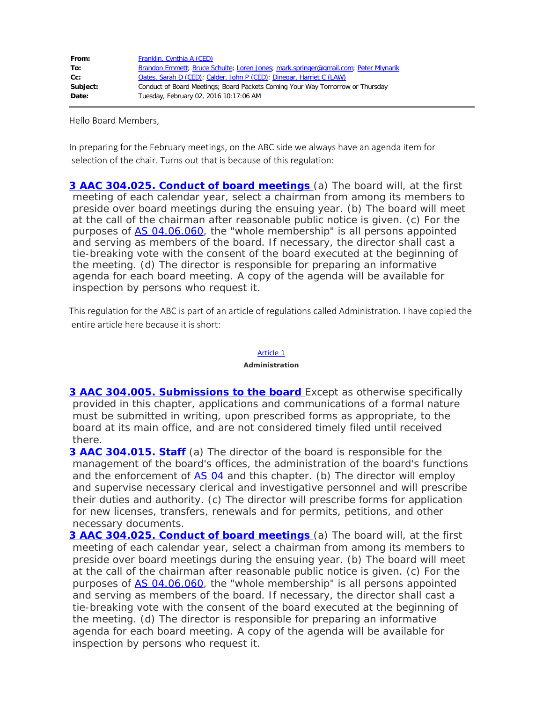| From:    | Franklin, Cynthia A (CED)                                                           |
|----------|-------------------------------------------------------------------------------------|
| To:      | Brandon Emmett; Bruce Schulte; Loren Jones; mark.springer@gmail.com; Peter Mlynarik |
| cc:      | Oates, Sarah D (CED); Calder, John P (CED); Dinegar, Harriet C (LAW)                |
| Subject: | Conduct of Board Meetings; Board Packets Coming Your Way Tomorrow or Thursday       |
| Date:    | Tuesday, February 02, 2016 10:17:06 AM                                              |

Hello Board Members,

In preparing for the February meetings, on the ABC side we always have an agenda item for selection of the chair. Turns out that is because of this regulation:

**[3 AAC 304.025. Conduct of board meetings](http://www.legis.state.ak.us/basis/aac.asp#3.304.025)** (a) The board will, at the first meeting of each calendar year, select a chairman from among its members to preside over board meetings during the ensuing year. (b) The board will meet at the call of the chairman after reasonable public notice is given. (c) For the purposes of [AS 04.06.060](http://www.legis.state.ak.us/basis/statutes.asp#04.06.060), the "whole membership" is all persons appointed and serving as members of the board. If necessary, the director shall cast a tie-breaking vote with the consent of the board executed at the beginning of the meeting. (d) The director is responsible for preparing an informative agenda for each board meeting. A copy of the agenda will be available for inspection by persons who request it.

This regulation for the ABC is part of an article of regulations called Administration. I have copied the entire article here because it is short:

## [Article 1](http://www.legis.state.ak.us/basis/aac.asp#3.304)

## **Administration**

**[3 AAC 304.005. Submissions to the board](http://www.legis.state.ak.us/basis/aac.asp#3.304.005)** Except as otherwise specifically provided in this chapter, applications and communications of a formal nature must be submitted in writing, upon prescribed forms as appropriate, to the board at its main office, and are not considered timely filed until received there.

**[3 AAC 304.015. Staff](http://www.legis.state.ak.us/basis/aac.asp#3.304.015)** (a) The director of the board is responsible for the management of the board's offices, the administration of the board's functions and the enforcement of [AS 04](http://www.legis.state.ak.us/basis/statutes.asp#04) and this chapter. (b) The director will employ and supervise necessary clerical and investigative personnel and will prescribe their duties and authority. (c) The director will prescribe forms for application for new licenses, transfers, renewals and for permits, petitions, and other necessary documents.

**[3 AAC 304.025. Conduct of board meetings](http://www.legis.state.ak.us/basis/aac.asp#3.304.025)** (a) The board will, at the first meeting of each calendar year, select a chairman from among its members to preside over board meetings during the ensuing year. (b) The board will meet at the call of the chairman after reasonable public notice is given. (c) For the purposes of **[AS 04.06.060](http://www.legis.state.ak.us/basis/statutes.asp#04.06.060)**, the "whole membership" is all persons appointed and serving as members of the board. If necessary, the director shall cast a tie-breaking vote with the consent of the board executed at the beginning of the meeting. (d) The director is responsible for preparing an informative agenda for each board meeting. A copy of the agenda will be available for inspection by persons who request it.